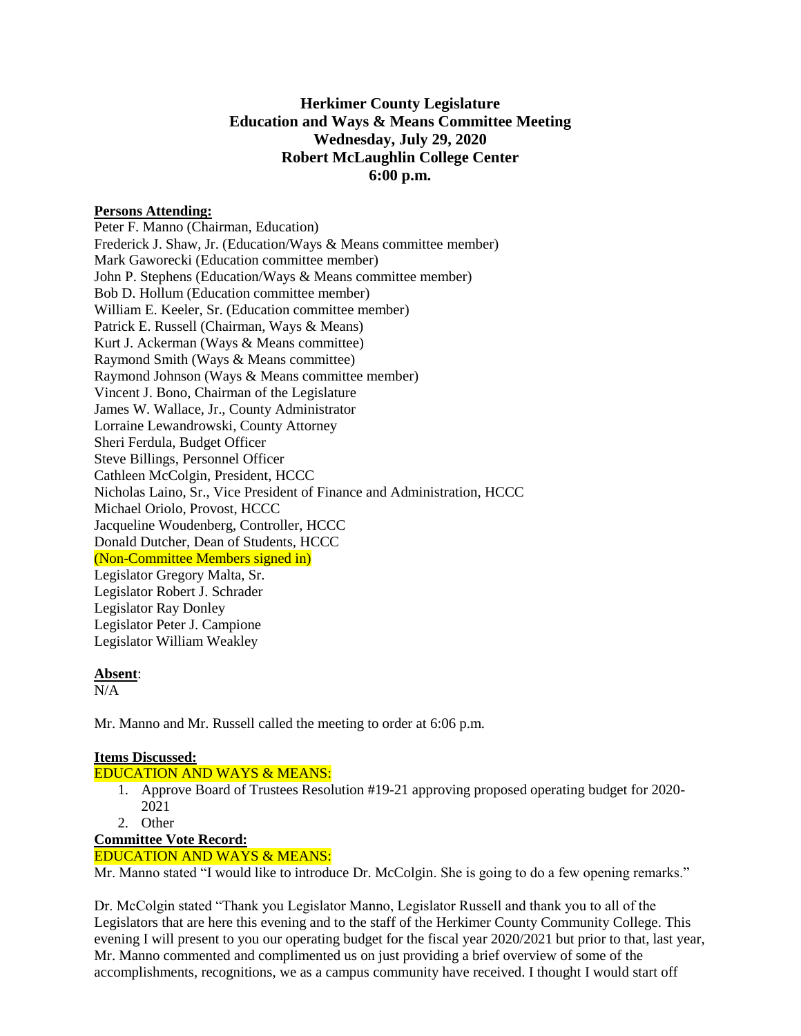# **Herkimer County Legislature Education and Ways & Means Committee Meeting Wednesday, July 29, 2020 Robert McLaughlin College Center 6:00 p.m.**

### **Persons Attending:**

Peter F. Manno (Chairman, Education) Frederick J. Shaw, Jr. (Education/Ways & Means committee member) Mark Gaworecki (Education committee member) John P. Stephens (Education/Ways & Means committee member) Bob D. Hollum (Education committee member) William E. Keeler, Sr. (Education committee member) Patrick E. Russell (Chairman, Ways & Means) Kurt J. Ackerman (Ways & Means committee) Raymond Smith (Ways & Means committee) Raymond Johnson (Ways & Means committee member) Vincent J. Bono, Chairman of the Legislature James W. Wallace, Jr., County Administrator Lorraine Lewandrowski, County Attorney Sheri Ferdula, Budget Officer Steve Billings, Personnel Officer Cathleen McColgin, President, HCCC Nicholas Laino, Sr., Vice President of Finance and Administration, HCCC Michael Oriolo, Provost, HCCC Jacqueline Woudenberg, Controller, HCCC Donald Dutcher, Dean of Students, HCCC (Non-Committee Members signed in) Legislator Gregory Malta, Sr. Legislator Robert J. Schrader Legislator Ray Donley Legislator Peter J. Campione Legislator William Weakley

### **Absent**:

N/A

Mr. Manno and Mr. Russell called the meeting to order at 6:06 p.m.

### **Items Discussed:**

### EDUCATION AND WAYS & MEANS:

- 1. Approve Board of Trustees Resolution #19-21 approving proposed operating budget for 2020- 2021
- 2. Other

# **Committee Vote Record:**

### EDUCATION AND WAYS & MEANS:

Mr. Manno stated "I would like to introduce Dr. McColgin. She is going to do a few opening remarks."

Dr. McColgin stated "Thank you Legislator Manno, Legislator Russell and thank you to all of the Legislators that are here this evening and to the staff of the Herkimer County Community College. This evening I will present to you our operating budget for the fiscal year 2020/2021 but prior to that, last year, Mr. Manno commented and complimented us on just providing a brief overview of some of the accomplishments, recognitions, we as a campus community have received. I thought I would start off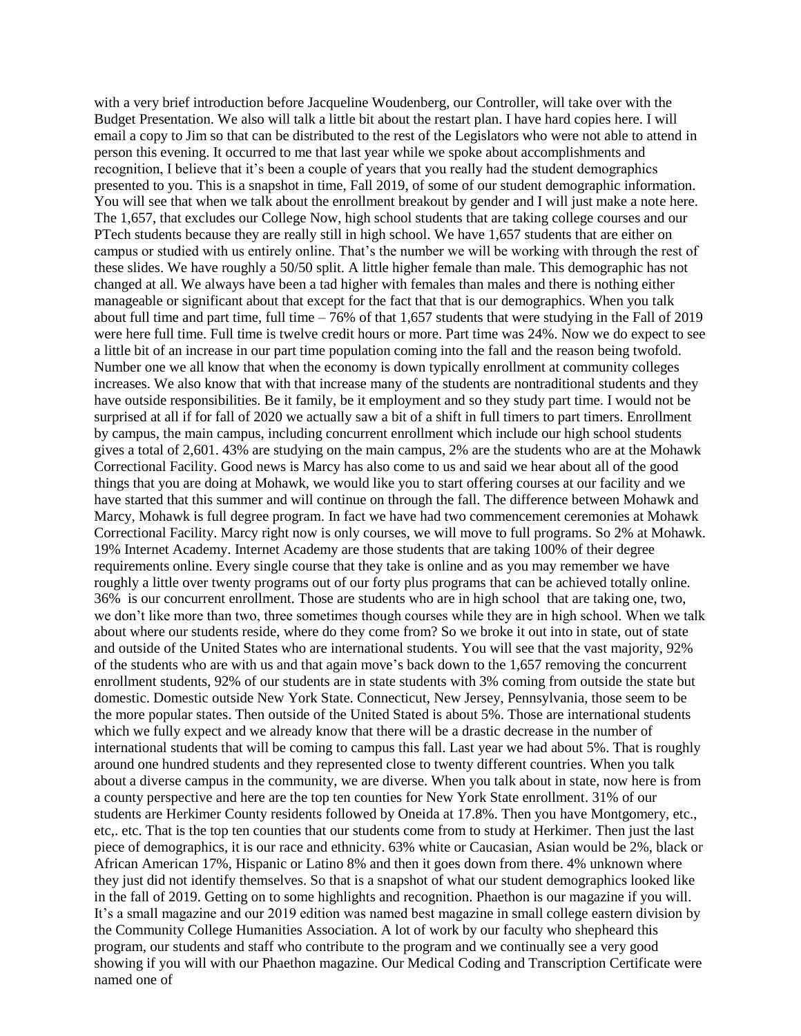with a very brief introduction before Jacqueline Woudenberg, our Controller, will take over with the Budget Presentation. We also will talk a little bit about the restart plan. I have hard copies here. I will email a copy to Jim so that can be distributed to the rest of the Legislators who were not able to attend in person this evening. It occurred to me that last year while we spoke about accomplishments and recognition, I believe that it's been a couple of years that you really had the student demographics presented to you. This is a snapshot in time, Fall 2019, of some of our student demographic information. You will see that when we talk about the enrollment breakout by gender and I will just make a note here. The 1,657, that excludes our College Now, high school students that are taking college courses and our PTech students because they are really still in high school. We have 1,657 students that are either on campus or studied with us entirely online. That's the number we will be working with through the rest of these slides. We have roughly a 50/50 split. A little higher female than male. This demographic has not changed at all. We always have been a tad higher with females than males and there is nothing either manageable or significant about that except for the fact that that is our demographics. When you talk about full time and part time, full time – 76% of that 1,657 students that were studying in the Fall of 2019 were here full time. Full time is twelve credit hours or more. Part time was 24%. Now we do expect to see a little bit of an increase in our part time population coming into the fall and the reason being twofold. Number one we all know that when the economy is down typically enrollment at community colleges increases. We also know that with that increase many of the students are nontraditional students and they have outside responsibilities. Be it family, be it employment and so they study part time. I would not be surprised at all if for fall of 2020 we actually saw a bit of a shift in full timers to part timers. Enrollment by campus, the main campus, including concurrent enrollment which include our high school students gives a total of 2,601. 43% are studying on the main campus, 2% are the students who are at the Mohawk Correctional Facility. Good news is Marcy has also come to us and said we hear about all of the good things that you are doing at Mohawk, we would like you to start offering courses at our facility and we have started that this summer and will continue on through the fall. The difference between Mohawk and Marcy, Mohawk is full degree program. In fact we have had two commencement ceremonies at Mohawk Correctional Facility. Marcy right now is only courses, we will move to full programs. So 2% at Mohawk. 19% Internet Academy. Internet Academy are those students that are taking 100% of their degree requirements online. Every single course that they take is online and as you may remember we have roughly a little over twenty programs out of our forty plus programs that can be achieved totally online. 36% is our concurrent enrollment. Those are students who are in high school that are taking one, two, we don't like more than two, three sometimes though courses while they are in high school. When we talk about where our students reside, where do they come from? So we broke it out into in state, out of state and outside of the United States who are international students. You will see that the vast majority, 92% of the students who are with us and that again move's back down to the 1,657 removing the concurrent enrollment students, 92% of our students are in state students with 3% coming from outside the state but domestic. Domestic outside New York State. Connecticut, New Jersey, Pennsylvania, those seem to be the more popular states. Then outside of the United Stated is about 5%. Those are international students which we fully expect and we already know that there will be a drastic decrease in the number of international students that will be coming to campus this fall. Last year we had about 5%. That is roughly around one hundred students and they represented close to twenty different countries. When you talk about a diverse campus in the community, we are diverse. When you talk about in state, now here is from a county perspective and here are the top ten counties for New York State enrollment. 31% of our students are Herkimer County residents followed by Oneida at 17.8%. Then you have Montgomery, etc., etc,. etc. That is the top ten counties that our students come from to study at Herkimer. Then just the last piece of demographics, it is our race and ethnicity. 63% white or Caucasian, Asian would be 2%, black or African American 17%, Hispanic or Latino 8% and then it goes down from there. 4% unknown where they just did not identify themselves. So that is a snapshot of what our student demographics looked like in the fall of 2019. Getting on to some highlights and recognition. Phaethon is our magazine if you will. It's a small magazine and our 2019 edition was named best magazine in small college eastern division by the Community College Humanities Association. A lot of work by our faculty who shepheard this program, our students and staff who contribute to the program and we continually see a very good showing if you will with our Phaethon magazine. Our Medical Coding and Transcription Certificate were named one of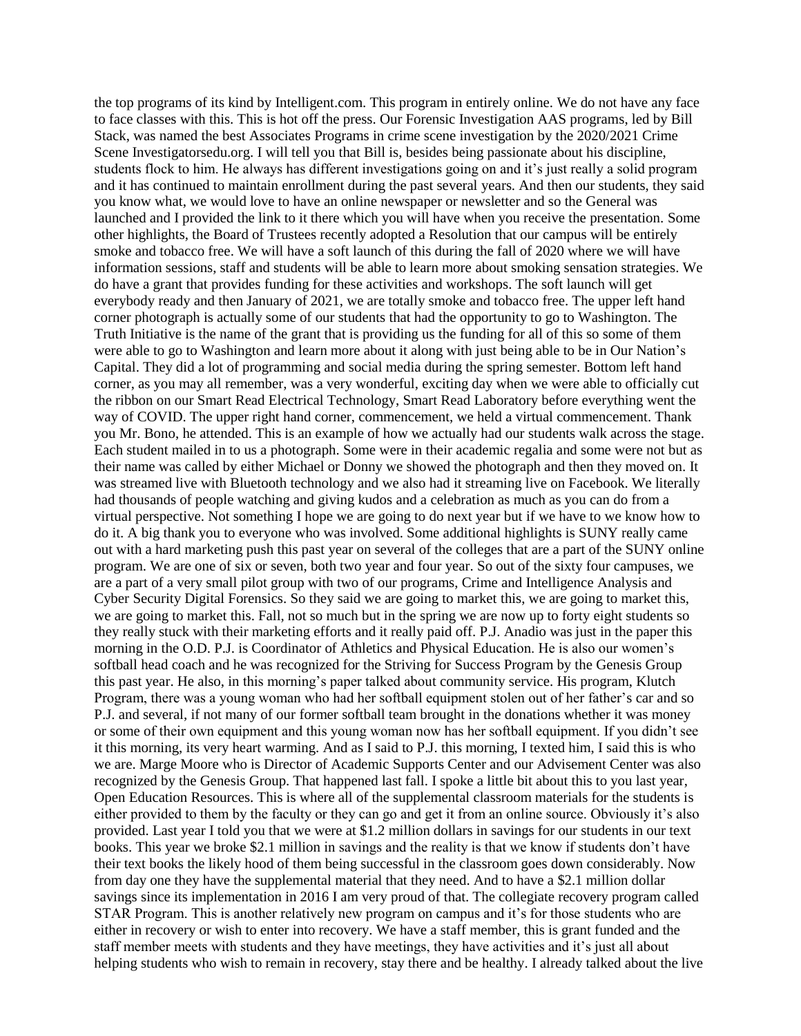the top programs of its kind by Intelligent.com. This program in entirely online. We do not have any face to face classes with this. This is hot off the press. Our Forensic Investigation AAS programs, led by Bill Stack, was named the best Associates Programs in crime scene investigation by the 2020/2021 Crime Scene Investigatorsedu.org. I will tell you that Bill is, besides being passionate about his discipline, students flock to him. He always has different investigations going on and it's just really a solid program and it has continued to maintain enrollment during the past several years. And then our students, they said you know what, we would love to have an online newspaper or newsletter and so the General was launched and I provided the link to it there which you will have when you receive the presentation. Some other highlights, the Board of Trustees recently adopted a Resolution that our campus will be entirely smoke and tobacco free. We will have a soft launch of this during the fall of 2020 where we will have information sessions, staff and students will be able to learn more about smoking sensation strategies. We do have a grant that provides funding for these activities and workshops. The soft launch will get everybody ready and then January of 2021, we are totally smoke and tobacco free. The upper left hand corner photograph is actually some of our students that had the opportunity to go to Washington. The Truth Initiative is the name of the grant that is providing us the funding for all of this so some of them were able to go to Washington and learn more about it along with just being able to be in Our Nation's Capital. They did a lot of programming and social media during the spring semester. Bottom left hand corner, as you may all remember, was a very wonderful, exciting day when we were able to officially cut the ribbon on our Smart Read Electrical Technology, Smart Read Laboratory before everything went the way of COVID. The upper right hand corner, commencement, we held a virtual commencement. Thank you Mr. Bono, he attended. This is an example of how we actually had our students walk across the stage. Each student mailed in to us a photograph. Some were in their academic regalia and some were not but as their name was called by either Michael or Donny we showed the photograph and then they moved on. It was streamed live with Bluetooth technology and we also had it streaming live on Facebook. We literally had thousands of people watching and giving kudos and a celebration as much as you can do from a virtual perspective. Not something I hope we are going to do next year but if we have to we know how to do it. A big thank you to everyone who was involved. Some additional highlights is SUNY really came out with a hard marketing push this past year on several of the colleges that are a part of the SUNY online program. We are one of six or seven, both two year and four year. So out of the sixty four campuses, we are a part of a very small pilot group with two of our programs, Crime and Intelligence Analysis and Cyber Security Digital Forensics. So they said we are going to market this, we are going to market this, we are going to market this. Fall, not so much but in the spring we are now up to forty eight students so they really stuck with their marketing efforts and it really paid off. P.J. Anadio was just in the paper this morning in the O.D. P.J. is Coordinator of Athletics and Physical Education. He is also our women's softball head coach and he was recognized for the Striving for Success Program by the Genesis Group this past year. He also, in this morning's paper talked about community service. His program, Klutch Program, there was a young woman who had her softball equipment stolen out of her father's car and so P.J. and several, if not many of our former softball team brought in the donations whether it was money or some of their own equipment and this young woman now has her softball equipment. If you didn't see it this morning, its very heart warming. And as I said to P.J. this morning, I texted him, I said this is who we are. Marge Moore who is Director of Academic Supports Center and our Advisement Center was also recognized by the Genesis Group. That happened last fall. I spoke a little bit about this to you last year, Open Education Resources. This is where all of the supplemental classroom materials for the students is either provided to them by the faculty or they can go and get it from an online source. Obviously it's also provided. Last year I told you that we were at \$1.2 million dollars in savings for our students in our text books. This year we broke \$2.1 million in savings and the reality is that we know if students don't have their text books the likely hood of them being successful in the classroom goes down considerably. Now from day one they have the supplemental material that they need. And to have a \$2.1 million dollar savings since its implementation in 2016 I am very proud of that. The collegiate recovery program called STAR Program. This is another relatively new program on campus and it's for those students who are either in recovery or wish to enter into recovery. We have a staff member, this is grant funded and the staff member meets with students and they have meetings, they have activities and it's just all about helping students who wish to remain in recovery, stay there and be healthy. I already talked about the live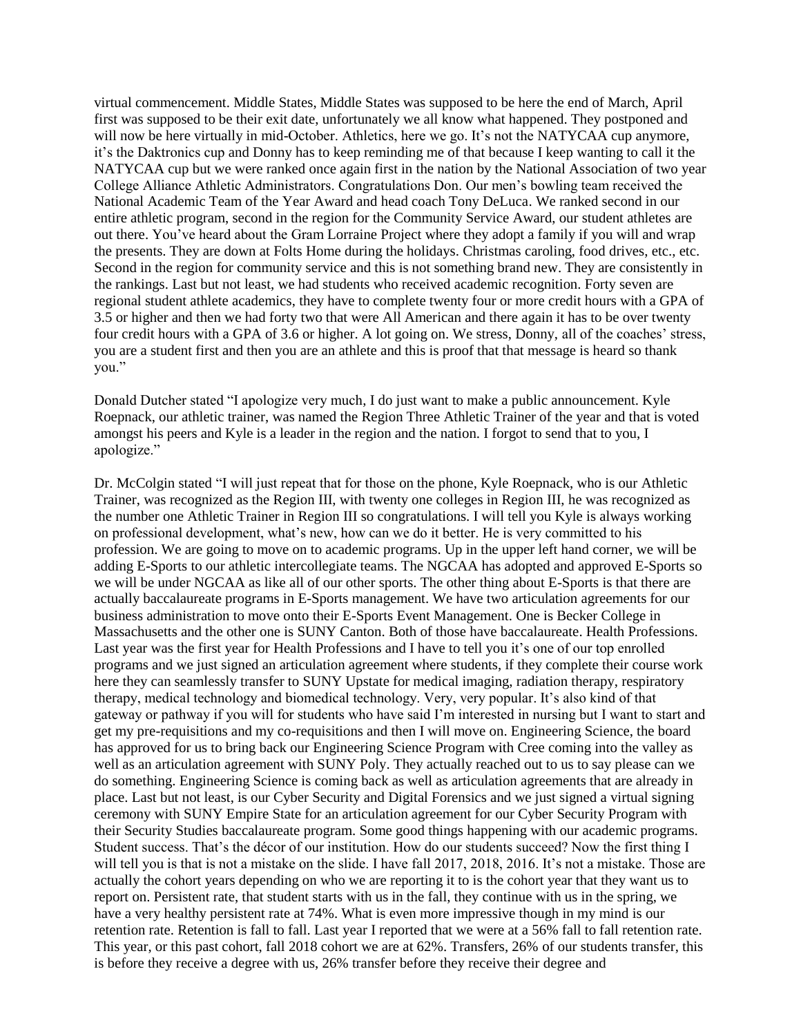virtual commencement. Middle States, Middle States was supposed to be here the end of March, April first was supposed to be their exit date, unfortunately we all know what happened. They postponed and will now be here virtually in mid-October. Athletics, here we go. It's not the NATYCAA cup anymore, it's the Daktronics cup and Donny has to keep reminding me of that because I keep wanting to call it the NATYCAA cup but we were ranked once again first in the nation by the National Association of two year College Alliance Athletic Administrators. Congratulations Don. Our men's bowling team received the National Academic Team of the Year Award and head coach Tony DeLuca. We ranked second in our entire athletic program, second in the region for the Community Service Award, our student athletes are out there. You've heard about the Gram Lorraine Project where they adopt a family if you will and wrap the presents. They are down at Folts Home during the holidays. Christmas caroling, food drives, etc., etc. Second in the region for community service and this is not something brand new. They are consistently in the rankings. Last but not least, we had students who received academic recognition. Forty seven are regional student athlete academics, they have to complete twenty four or more credit hours with a GPA of 3.5 or higher and then we had forty two that were All American and there again it has to be over twenty four credit hours with a GPA of 3.6 or higher. A lot going on. We stress, Donny, all of the coaches' stress, you are a student first and then you are an athlete and this is proof that that message is heard so thank you."

Donald Dutcher stated "I apologize very much, I do just want to make a public announcement. Kyle Roepnack, our athletic trainer, was named the Region Three Athletic Trainer of the year and that is voted amongst his peers and Kyle is a leader in the region and the nation. I forgot to send that to you, I apologize."

Dr. McColgin stated "I will just repeat that for those on the phone, Kyle Roepnack, who is our Athletic Trainer, was recognized as the Region III, with twenty one colleges in Region III, he was recognized as the number one Athletic Trainer in Region III so congratulations. I will tell you Kyle is always working on professional development, what's new, how can we do it better. He is very committed to his profession. We are going to move on to academic programs. Up in the upper left hand corner, we will be adding E-Sports to our athletic intercollegiate teams. The NGCAA has adopted and approved E-Sports so we will be under NGCAA as like all of our other sports. The other thing about E-Sports is that there are actually baccalaureate programs in E-Sports management. We have two articulation agreements for our business administration to move onto their E-Sports Event Management. One is Becker College in Massachusetts and the other one is SUNY Canton. Both of those have baccalaureate. Health Professions. Last year was the first year for Health Professions and I have to tell you it's one of our top enrolled programs and we just signed an articulation agreement where students, if they complete their course work here they can seamlessly transfer to SUNY Upstate for medical imaging, radiation therapy, respiratory therapy, medical technology and biomedical technology. Very, very popular. It's also kind of that gateway or pathway if you will for students who have said I'm interested in nursing but I want to start and get my pre-requisitions and my co-requisitions and then I will move on. Engineering Science, the board has approved for us to bring back our Engineering Science Program with Cree coming into the valley as well as an articulation agreement with SUNY Poly. They actually reached out to us to say please can we do something. Engineering Science is coming back as well as articulation agreements that are already in place. Last but not least, is our Cyber Security and Digital Forensics and we just signed a virtual signing ceremony with SUNY Empire State for an articulation agreement for our Cyber Security Program with their Security Studies baccalaureate program. Some good things happening with our academic programs. Student success. That's the décor of our institution. How do our students succeed? Now the first thing I will tell you is that is not a mistake on the slide. I have fall 2017, 2018, 2016. It's not a mistake. Those are actually the cohort years depending on who we are reporting it to is the cohort year that they want us to report on. Persistent rate, that student starts with us in the fall, they continue with us in the spring, we have a very healthy persistent rate at 74%. What is even more impressive though in my mind is our retention rate. Retention is fall to fall. Last year I reported that we were at a 56% fall to fall retention rate. This year, or this past cohort, fall 2018 cohort we are at 62%. Transfers, 26% of our students transfer, this is before they receive a degree with us, 26% transfer before they receive their degree and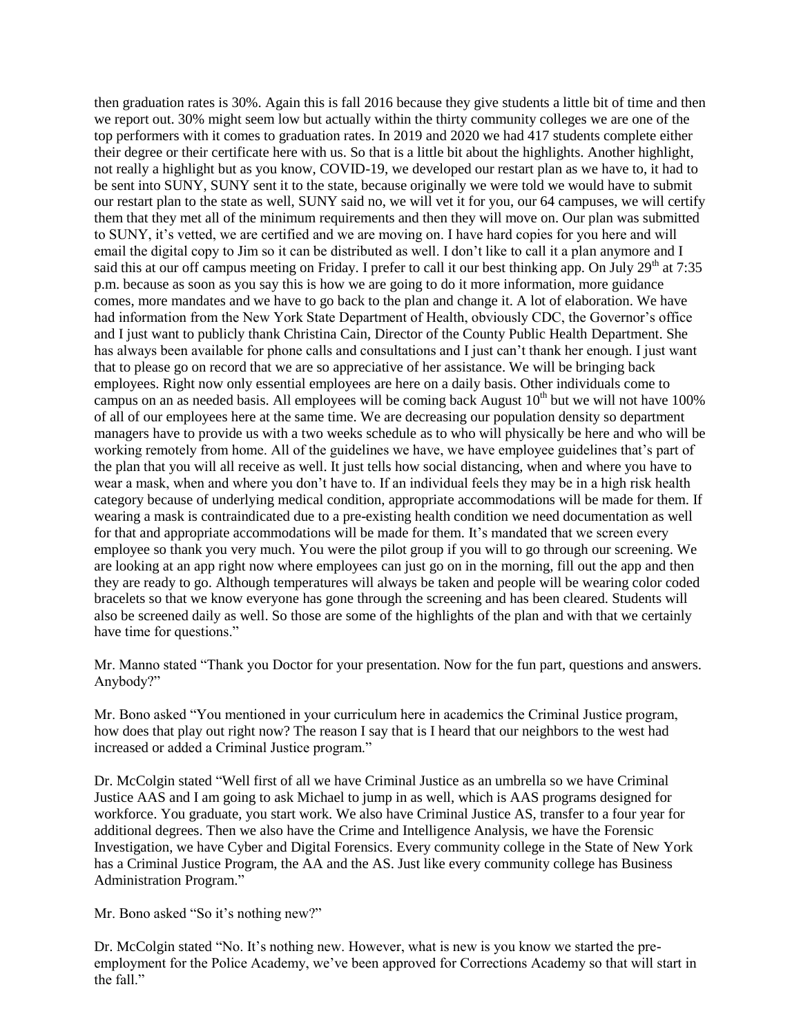then graduation rates is 30%. Again this is fall 2016 because they give students a little bit of time and then we report out. 30% might seem low but actually within the thirty community colleges we are one of the top performers with it comes to graduation rates. In 2019 and 2020 we had 417 students complete either their degree or their certificate here with us. So that is a little bit about the highlights. Another highlight, not really a highlight but as you know, COVID-19, we developed our restart plan as we have to, it had to be sent into SUNY, SUNY sent it to the state, because originally we were told we would have to submit our restart plan to the state as well, SUNY said no, we will vet it for you, our 64 campuses, we will certify them that they met all of the minimum requirements and then they will move on. Our plan was submitted to SUNY, it's vetted, we are certified and we are moving on. I have hard copies for you here and will email the digital copy to Jim so it can be distributed as well. I don't like to call it a plan anymore and I said this at our off campus meeting on Friday. I prefer to call it our best thinking app. On July 29<sup>th</sup> at 7:35 p.m. because as soon as you say this is how we are going to do it more information, more guidance comes, more mandates and we have to go back to the plan and change it. A lot of elaboration. We have had information from the New York State Department of Health, obviously CDC, the Governor's office and I just want to publicly thank Christina Cain, Director of the County Public Health Department. She has always been available for phone calls and consultations and I just can't thank her enough. I just want that to please go on record that we are so appreciative of her assistance. We will be bringing back employees. Right now only essential employees are here on a daily basis. Other individuals come to campus on an as needed basis. All employees will be coming back August  $10<sup>th</sup>$  but we will not have  $100\%$ of all of our employees here at the same time. We are decreasing our population density so department managers have to provide us with a two weeks schedule as to who will physically be here and who will be working remotely from home. All of the guidelines we have, we have employee guidelines that's part of the plan that you will all receive as well. It just tells how social distancing, when and where you have to wear a mask, when and where you don't have to. If an individual feels they may be in a high risk health category because of underlying medical condition, appropriate accommodations will be made for them. If wearing a mask is contraindicated due to a pre-existing health condition we need documentation as well for that and appropriate accommodations will be made for them. It's mandated that we screen every employee so thank you very much. You were the pilot group if you will to go through our screening. We are looking at an app right now where employees can just go on in the morning, fill out the app and then they are ready to go. Although temperatures will always be taken and people will be wearing color coded bracelets so that we know everyone has gone through the screening and has been cleared. Students will also be screened daily as well. So those are some of the highlights of the plan and with that we certainly have time for questions."

Mr. Manno stated "Thank you Doctor for your presentation. Now for the fun part, questions and answers. Anybody?"

Mr. Bono asked "You mentioned in your curriculum here in academics the Criminal Justice program, how does that play out right now? The reason I say that is I heard that our neighbors to the west had increased or added a Criminal Justice program."

Dr. McColgin stated "Well first of all we have Criminal Justice as an umbrella so we have Criminal Justice AAS and I am going to ask Michael to jump in as well, which is AAS programs designed for workforce. You graduate, you start work. We also have Criminal Justice AS, transfer to a four year for additional degrees. Then we also have the Crime and Intelligence Analysis, we have the Forensic Investigation, we have Cyber and Digital Forensics. Every community college in the State of New York has a Criminal Justice Program, the AA and the AS. Just like every community college has Business Administration Program."

Mr. Bono asked "So it's nothing new?"

Dr. McColgin stated "No. It's nothing new. However, what is new is you know we started the preemployment for the Police Academy, we've been approved for Corrections Academy so that will start in the fall."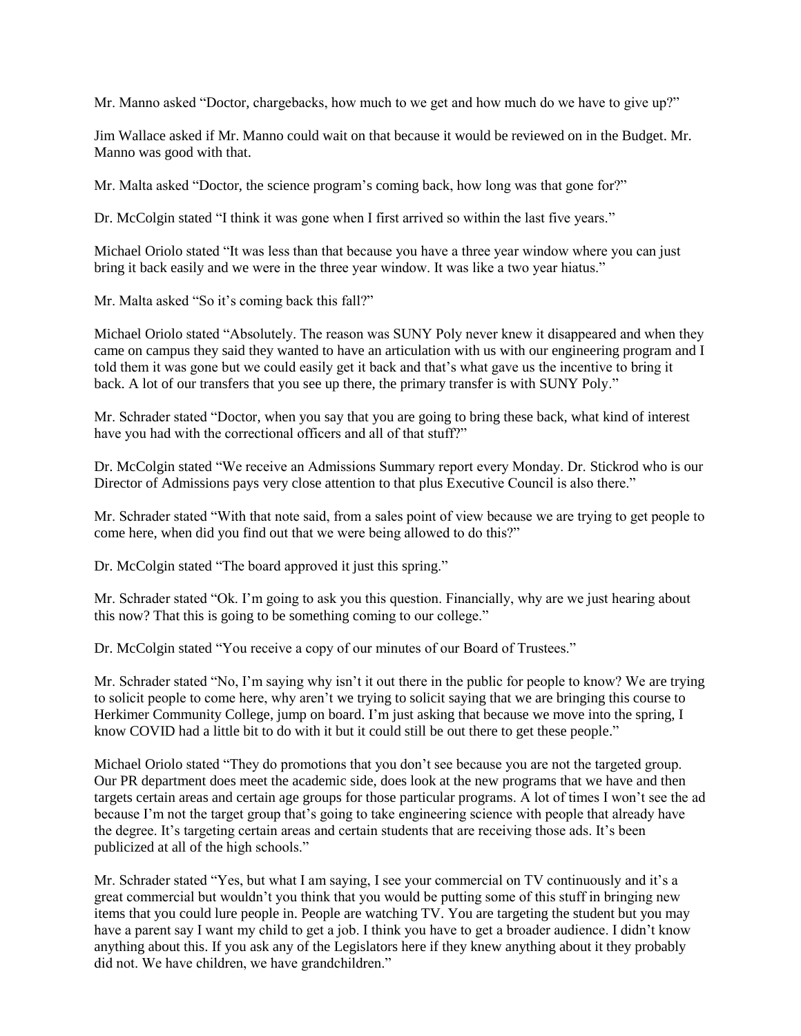Mr. Manno asked "Doctor, chargebacks, how much to we get and how much do we have to give up?"

Jim Wallace asked if Mr. Manno could wait on that because it would be reviewed on in the Budget. Mr. Manno was good with that.

Mr. Malta asked "Doctor, the science program's coming back, how long was that gone for?"

Dr. McColgin stated "I think it was gone when I first arrived so within the last five years."

Michael Oriolo stated "It was less than that because you have a three year window where you can just bring it back easily and we were in the three year window. It was like a two year hiatus."

Mr. Malta asked "So it's coming back this fall?"

Michael Oriolo stated "Absolutely. The reason was SUNY Poly never knew it disappeared and when they came on campus they said they wanted to have an articulation with us with our engineering program and I told them it was gone but we could easily get it back and that's what gave us the incentive to bring it back. A lot of our transfers that you see up there, the primary transfer is with SUNY Poly."

Mr. Schrader stated "Doctor, when you say that you are going to bring these back, what kind of interest have you had with the correctional officers and all of that stuff?"

Dr. McColgin stated "We receive an Admissions Summary report every Monday. Dr. Stickrod who is our Director of Admissions pays very close attention to that plus Executive Council is also there."

Mr. Schrader stated "With that note said, from a sales point of view because we are trying to get people to come here, when did you find out that we were being allowed to do this?"

Dr. McColgin stated "The board approved it just this spring."

Mr. Schrader stated "Ok. I'm going to ask you this question. Financially, why are we just hearing about this now? That this is going to be something coming to our college."

Dr. McColgin stated "You receive a copy of our minutes of our Board of Trustees."

Mr. Schrader stated "No, I'm saying why isn't it out there in the public for people to know? We are trying to solicit people to come here, why aren't we trying to solicit saying that we are bringing this course to Herkimer Community College, jump on board. I'm just asking that because we move into the spring, I know COVID had a little bit to do with it but it could still be out there to get these people."

Michael Oriolo stated "They do promotions that you don't see because you are not the targeted group. Our PR department does meet the academic side, does look at the new programs that we have and then targets certain areas and certain age groups for those particular programs. A lot of times I won't see the ad because I'm not the target group that's going to take engineering science with people that already have the degree. It's targeting certain areas and certain students that are receiving those ads. It's been publicized at all of the high schools."

Mr. Schrader stated "Yes, but what I am saying, I see your commercial on TV continuously and it's a great commercial but wouldn't you think that you would be putting some of this stuff in bringing new items that you could lure people in. People are watching TV. You are targeting the student but you may have a parent say I want my child to get a job. I think you have to get a broader audience. I didn't know anything about this. If you ask any of the Legislators here if they knew anything about it they probably did not. We have children, we have grandchildren."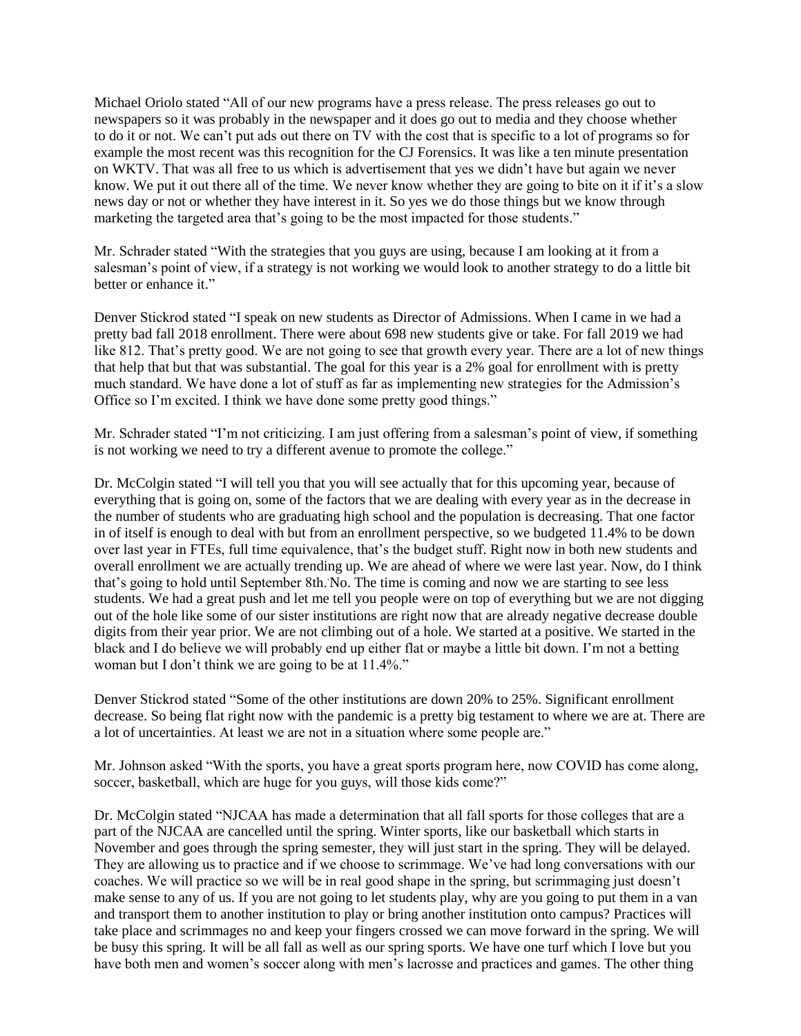Michael Oriolo stated "All of our new programs have a press release. The press releases go out to newspapers so it was probably in the newspaper and it does go out to media and they choose whether to do it or not. We can't put ads out there on TV with the cost that is specific to a lot of programs so for example the most recent was this recognition for the CJ Forensics. It was like a ten minute presentation on WKTV. That was all free to us which is advertisement that yes we didn't have but again we never know. We put it out there all of the time. We never know whether they are going to bite on it if it's a slow news day or not or whether they have interest in it. So yes we do those things but we know through marketing the targeted area that's going to be the most impacted for those students."

Mr. Schrader stated "With the strategies that you guys are using, because I am looking at it from a salesman's point of view, if a strategy is not working we would look to another strategy to do a little bit better or enhance it."

Denver Stickrod stated "I speak on new students as Director of Admissions. When I came in we had a pretty bad fall 2018 enrollment. There were about 698 new students give or take. For fall 2019 we had like 812. That's pretty good. We are not going to see that growth every year. There are a lot of new things that help that but that was substantial. The goal for this year is a 2% goal for enrollment with is pretty much standard. We have done a lot of stuff as far as implementing new strategies for the Admission's Office so I'm excited. I think we have done some pretty good things."

Mr. Schrader stated "I'm not criticizing. I am just offering from a salesman's point of view, if something is not working we need to try a different avenue to promote the college."

Dr. McColgin stated "I will tell you that you will see actually that for this upcoming year, because of everything that is going on, some of the factors that we are dealing with every year as in the decrease in the number of students who are graduating high school and the population is decreasing. That one factor in of itself is enough to deal with but from an enrollment perspective, so we budgeted 11.4% to be down over last year in FTEs, full time equivalence, that's the budget stuff. Right now in both new students and overall enrollment we are actually trending up. We are ahead of where we were last year. Now, do I think that's going to hold until September 8th. No. The time is coming and now we are starting to see less students. We had a great push and let me tell you people were on top of everything but we are not digging out of the hole like some of our sister institutions are right now that are already negative decrease double digits from their year prior. We are not climbing out of a hole. We started at a positive. We started in the black and I do believe we will probably end up either flat or maybe a little bit down. I'm not a betting woman but I don't think we are going to be at 11.4%."

Denver Stickrod stated "Some of the other institutions are down 20% to 25%. Significant enrollment decrease. So being flat right now with the pandemic is a pretty big testament to where we are at. There are a lot of uncertainties. At least we are not in a situation where some people are."

Mr. Johnson asked "With the sports, you have a great sports program here, now COVID has come along, soccer, basketball, which are huge for you guys, will those kids come?"

Dr. McColgin stated "NJCAA has made a determination that all fall sports for those colleges that are a part of the NJCAA are cancelled until the spring. Winter sports, like our basketball which starts in November and goes through the spring semester, they will just start in the spring. They will be delayed. They are allowing us to practice and if we choose to scrimmage. We've had long conversations with our coaches. We will practice so we will be in real good shape in the spring, but scrimmaging just doesn't make sense to any of us. If you are not going to let students play, why are you going to put them in a van and transport them to another institution to play or bring another institution onto campus? Practices will take place and scrimmages no and keep your fingers crossed we can move forward in the spring. We will be busy this spring. It will be all fall as well as our spring sports. We have one turf which I love but you have both men and women's soccer along with men's lacrosse and practices and games. The other thing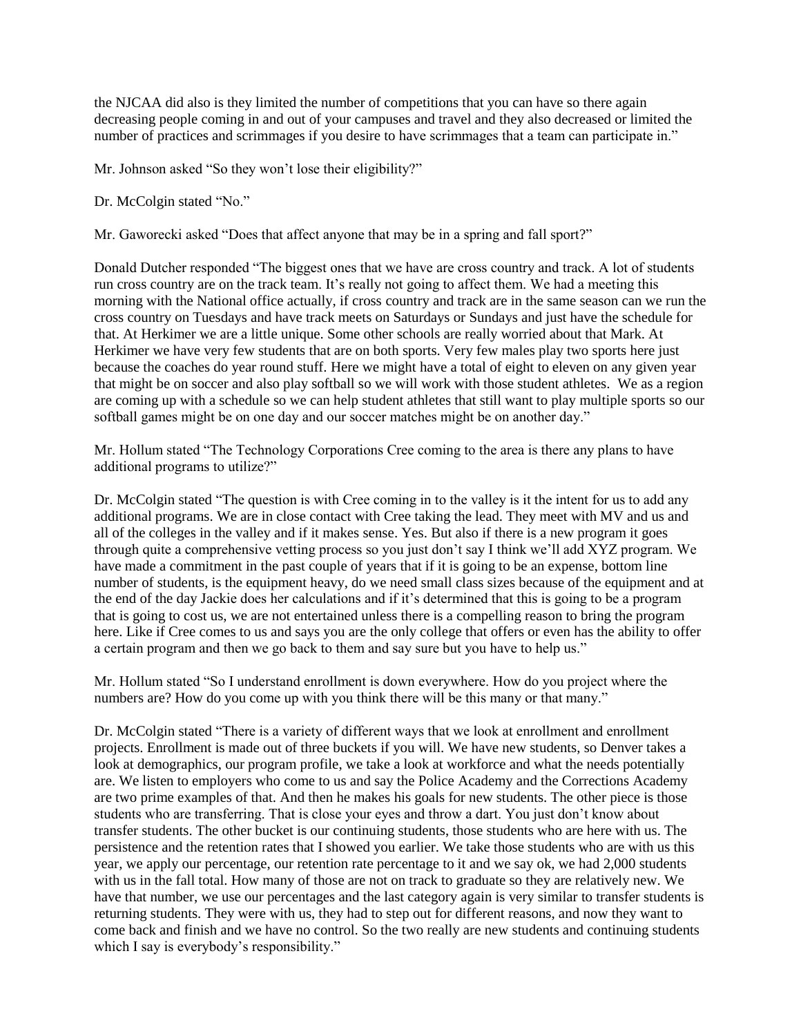the NJCAA did also is they limited the number of competitions that you can have so there again decreasing people coming in and out of your campuses and travel and they also decreased or limited the number of practices and scrimmages if you desire to have scrimmages that a team can participate in."

Mr. Johnson asked "So they won't lose their eligibility?"

Dr. McColgin stated "No."

Mr. Gaworecki asked "Does that affect anyone that may be in a spring and fall sport?"

Donald Dutcher responded "The biggest ones that we have are cross country and track. A lot of students run cross country are on the track team. It's really not going to affect them. We had a meeting this morning with the National office actually, if cross country and track are in the same season can we run the cross country on Tuesdays and have track meets on Saturdays or Sundays and just have the schedule for that. At Herkimer we are a little unique. Some other schools are really worried about that Mark. At Herkimer we have very few students that are on both sports. Very few males play two sports here just because the coaches do year round stuff. Here we might have a total of eight to eleven on any given year that might be on soccer and also play softball so we will work with those student athletes. We as a region are coming up with a schedule so we can help student athletes that still want to play multiple sports so our softball games might be on one day and our soccer matches might be on another day."

Mr. Hollum stated "The Technology Corporations Cree coming to the area is there any plans to have additional programs to utilize?"

Dr. McColgin stated "The question is with Cree coming in to the valley is it the intent for us to add any additional programs. We are in close contact with Cree taking the lead. They meet with MV and us and all of the colleges in the valley and if it makes sense. Yes. But also if there is a new program it goes through quite a comprehensive vetting process so you just don't say I think we'll add XYZ program. We have made a commitment in the past couple of years that if it is going to be an expense, bottom line number of students, is the equipment heavy, do we need small class sizes because of the equipment and at the end of the day Jackie does her calculations and if it's determined that this is going to be a program that is going to cost us, we are not entertained unless there is a compelling reason to bring the program here. Like if Cree comes to us and says you are the only college that offers or even has the ability to offer a certain program and then we go back to them and say sure but you have to help us."

Mr. Hollum stated "So I understand enrollment is down everywhere. How do you project where the numbers are? How do you come up with you think there will be this many or that many."

Dr. McColgin stated "There is a variety of different ways that we look at enrollment and enrollment projects. Enrollment is made out of three buckets if you will. We have new students, so Denver takes a look at demographics, our program profile, we take a look at workforce and what the needs potentially are. We listen to employers who come to us and say the Police Academy and the Corrections Academy are two prime examples of that. And then he makes his goals for new students. The other piece is those students who are transferring. That is close your eyes and throw a dart. You just don't know about transfer students. The other bucket is our continuing students, those students who are here with us. The persistence and the retention rates that I showed you earlier. We take those students who are with us this year, we apply our percentage, our retention rate percentage to it and we say ok, we had 2,000 students with us in the fall total. How many of those are not on track to graduate so they are relatively new. We have that number, we use our percentages and the last category again is very similar to transfer students is returning students. They were with us, they had to step out for different reasons, and now they want to come back and finish and we have no control. So the two really are new students and continuing students which I say is everybody's responsibility."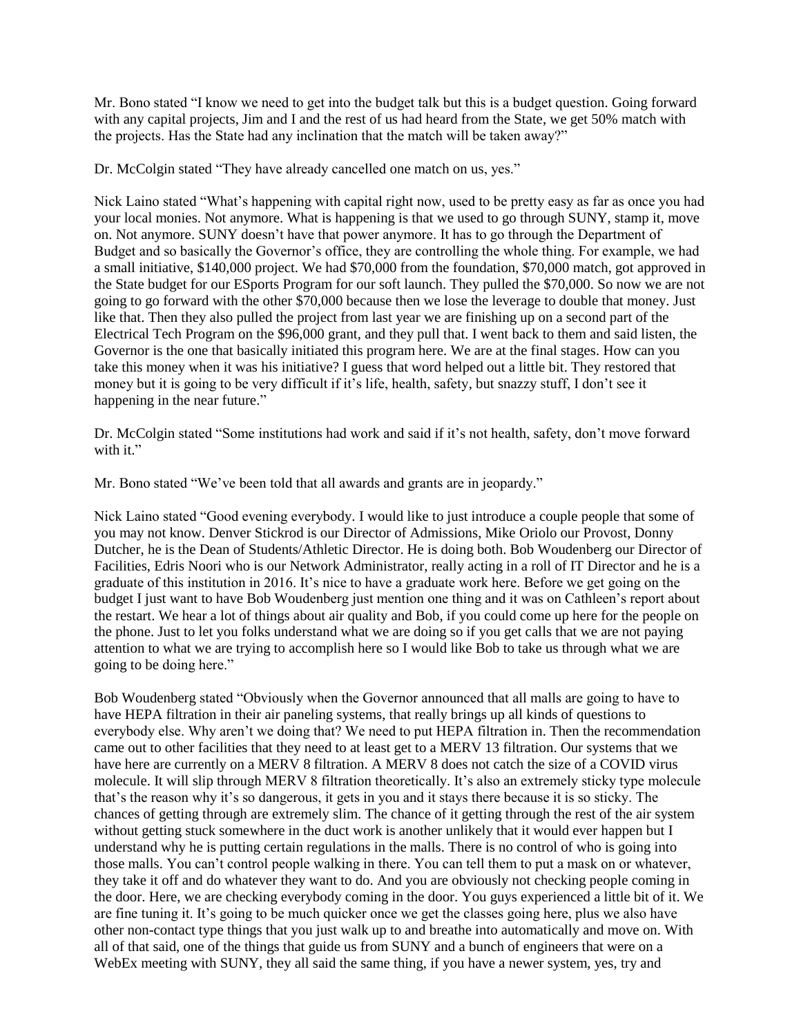Mr. Bono stated "I know we need to get into the budget talk but this is a budget question. Going forward with any capital projects, Jim and I and the rest of us had heard from the State, we get 50% match with the projects. Has the State had any inclination that the match will be taken away?"

Dr. McColgin stated "They have already cancelled one match on us, yes."

Nick Laino stated "What's happening with capital right now, used to be pretty easy as far as once you had your local monies. Not anymore. What is happening is that we used to go through SUNY, stamp it, move on. Not anymore. SUNY doesn't have that power anymore. It has to go through the Department of Budget and so basically the Governor's office, they are controlling the whole thing. For example, we had a small initiative, \$140,000 project. We had \$70,000 from the foundation, \$70,000 match, got approved in the State budget for our ESports Program for our soft launch. They pulled the \$70,000. So now we are not going to go forward with the other \$70,000 because then we lose the leverage to double that money. Just like that. Then they also pulled the project from last year we are finishing up on a second part of the Electrical Tech Program on the \$96,000 grant, and they pull that. I went back to them and said listen, the Governor is the one that basically initiated this program here. We are at the final stages. How can you take this money when it was his initiative? I guess that word helped out a little bit. They restored that money but it is going to be very difficult if it's life, health, safety, but snazzy stuff, I don't see it happening in the near future."

Dr. McColgin stated "Some institutions had work and said if it's not health, safety, don't move forward with it."

Mr. Bono stated "We've been told that all awards and grants are in jeopardy."

Nick Laino stated "Good evening everybody. I would like to just introduce a couple people that some of you may not know. Denver Stickrod is our Director of Admissions, Mike Oriolo our Provost, Donny Dutcher, he is the Dean of Students/Athletic Director. He is doing both. Bob Woudenberg our Director of Facilities, Edris Noori who is our Network Administrator, really acting in a roll of IT Director and he is a graduate of this institution in 2016. It's nice to have a graduate work here. Before we get going on the budget I just want to have Bob Woudenberg just mention one thing and it was on Cathleen's report about the restart. We hear a lot of things about air quality and Bob, if you could come up here for the people on the phone. Just to let you folks understand what we are doing so if you get calls that we are not paying attention to what we are trying to accomplish here so I would like Bob to take us through what we are going to be doing here."

Bob Woudenberg stated "Obviously when the Governor announced that all malls are going to have to have HEPA filtration in their air paneling systems, that really brings up all kinds of questions to everybody else. Why aren't we doing that? We need to put HEPA filtration in. Then the recommendation came out to other facilities that they need to at least get to a MERV 13 filtration. Our systems that we have here are currently on a MERV 8 filtration. A MERV 8 does not catch the size of a COVID virus molecule. It will slip through MERV 8 filtration theoretically. It's also an extremely sticky type molecule that's the reason why it's so dangerous, it gets in you and it stays there because it is so sticky. The chances of getting through are extremely slim. The chance of it getting through the rest of the air system without getting stuck somewhere in the duct work is another unlikely that it would ever happen but I understand why he is putting certain regulations in the malls. There is no control of who is going into those malls. You can't control people walking in there. You can tell them to put a mask on or whatever, they take it off and do whatever they want to do. And you are obviously not checking people coming in the door. Here, we are checking everybody coming in the door. You guys experienced a little bit of it. We are fine tuning it. It's going to be much quicker once we get the classes going here, plus we also have other non-contact type things that you just walk up to and breathe into automatically and move on. With all of that said, one of the things that guide us from SUNY and a bunch of engineers that were on a WebEx meeting with SUNY, they all said the same thing, if you have a newer system, yes, try and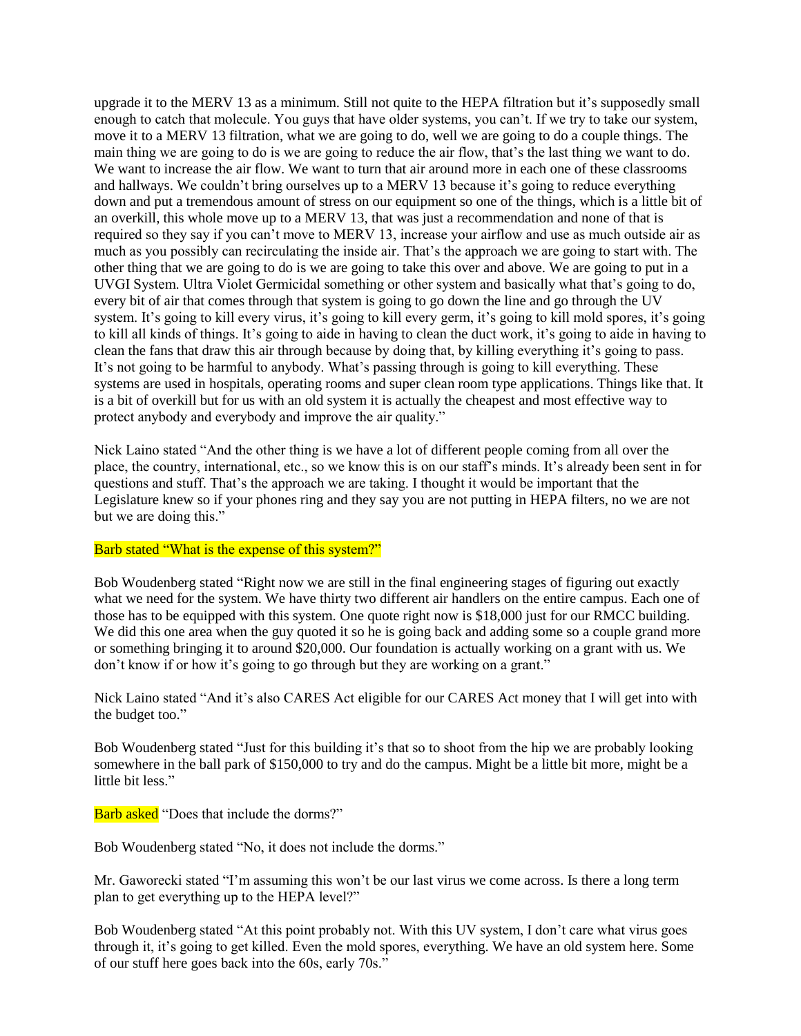upgrade it to the MERV 13 as a minimum. Still not quite to the HEPA filtration but it's supposedly small enough to catch that molecule. You guys that have older systems, you can't. If we try to take our system, move it to a MERV 13 filtration, what we are going to do, well we are going to do a couple things. The main thing we are going to do is we are going to reduce the air flow, that's the last thing we want to do. We want to increase the air flow. We want to turn that air around more in each one of these classrooms and hallways. We couldn't bring ourselves up to a MERV 13 because it's going to reduce everything down and put a tremendous amount of stress on our equipment so one of the things, which is a little bit of an overkill, this whole move up to a MERV 13, that was just a recommendation and none of that is required so they say if you can't move to MERV 13, increase your airflow and use as much outside air as much as you possibly can recirculating the inside air. That's the approach we are going to start with. The other thing that we are going to do is we are going to take this over and above. We are going to put in a UVGI System. Ultra Violet Germicidal something or other system and basically what that's going to do, every bit of air that comes through that system is going to go down the line and go through the UV system. It's going to kill every virus, it's going to kill every germ, it's going to kill mold spores, it's going to kill all kinds of things. It's going to aide in having to clean the duct work, it's going to aide in having to clean the fans that draw this air through because by doing that, by killing everything it's going to pass. It's not going to be harmful to anybody. What's passing through is going to kill everything. These systems are used in hospitals, operating rooms and super clean room type applications. Things like that. It is a bit of overkill but for us with an old system it is actually the cheapest and most effective way to protect anybody and everybody and improve the air quality."

Nick Laino stated "And the other thing is we have a lot of different people coming from all over the place, the country, international, etc., so we know this is on our staff's minds. It's already been sent in for questions and stuff. That's the approach we are taking. I thought it would be important that the Legislature knew so if your phones ring and they say you are not putting in HEPA filters, no we are not but we are doing this."

#### Barb stated "What is the expense of this system?"

Bob Woudenberg stated "Right now we are still in the final engineering stages of figuring out exactly what we need for the system. We have thirty two different air handlers on the entire campus. Each one of those has to be equipped with this system. One quote right now is \$18,000 just for our RMCC building. We did this one area when the guy quoted it so he is going back and adding some so a couple grand more or something bringing it to around \$20,000. Our foundation is actually working on a grant with us. We don't know if or how it's going to go through but they are working on a grant."

Nick Laino stated "And it's also CARES Act eligible for our CARES Act money that I will get into with the budget too."

Bob Woudenberg stated "Just for this building it's that so to shoot from the hip we are probably looking somewhere in the ball park of \$150,000 to try and do the campus. Might be a little bit more, might be a little bit less."

Barb asked "Does that include the dorms?"

Bob Woudenberg stated "No, it does not include the dorms."

Mr. Gaworecki stated "I'm assuming this won't be our last virus we come across. Is there a long term plan to get everything up to the HEPA level?"

Bob Woudenberg stated "At this point probably not. With this UV system, I don't care what virus goes through it, it's going to get killed. Even the mold spores, everything. We have an old system here. Some of our stuff here goes back into the 60s, early 70s."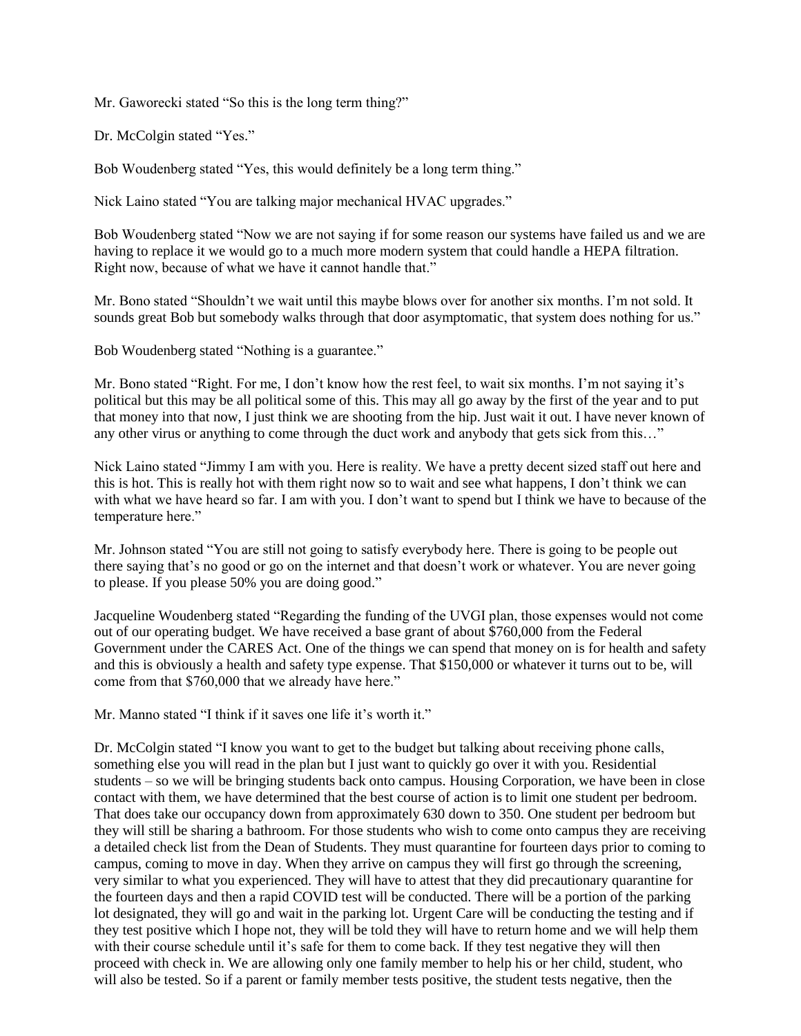Mr. Gaworecki stated "So this is the long term thing?"

Dr. McColgin stated "Yes."

Bob Woudenberg stated "Yes, this would definitely be a long term thing."

Nick Laino stated "You are talking major mechanical HVAC upgrades."

Bob Woudenberg stated "Now we are not saying if for some reason our systems have failed us and we are having to replace it we would go to a much more modern system that could handle a HEPA filtration. Right now, because of what we have it cannot handle that."

Mr. Bono stated "Shouldn't we wait until this maybe blows over for another six months. I'm not sold. It sounds great Bob but somebody walks through that door asymptomatic, that system does nothing for us."

Bob Woudenberg stated "Nothing is a guarantee."

Mr. Bono stated "Right. For me, I don't know how the rest feel, to wait six months. I'm not saying it's political but this may be all political some of this. This may all go away by the first of the year and to put that money into that now, I just think we are shooting from the hip. Just wait it out. I have never known of any other virus or anything to come through the duct work and anybody that gets sick from this…"

Nick Laino stated "Jimmy I am with you. Here is reality. We have a pretty decent sized staff out here and this is hot. This is really hot with them right now so to wait and see what happens, I don't think we can with what we have heard so far. I am with you. I don't want to spend but I think we have to because of the temperature here."

Mr. Johnson stated "You are still not going to satisfy everybody here. There is going to be people out there saying that's no good or go on the internet and that doesn't work or whatever. You are never going to please. If you please 50% you are doing good."

Jacqueline Woudenberg stated "Regarding the funding of the UVGI plan, those expenses would not come out of our operating budget. We have received a base grant of about \$760,000 from the Federal Government under the CARES Act. One of the things we can spend that money on is for health and safety and this is obviously a health and safety type expense. That \$150,000 or whatever it turns out to be, will come from that \$760,000 that we already have here."

Mr. Manno stated "I think if it saves one life it's worth it."

Dr. McColgin stated "I know you want to get to the budget but talking about receiving phone calls, something else you will read in the plan but I just want to quickly go over it with you. Residential students – so we will be bringing students back onto campus. Housing Corporation, we have been in close contact with them, we have determined that the best course of action is to limit one student per bedroom. That does take our occupancy down from approximately 630 down to 350. One student per bedroom but they will still be sharing a bathroom. For those students who wish to come onto campus they are receiving a detailed check list from the Dean of Students. They must quarantine for fourteen days prior to coming to campus, coming to move in day. When they arrive on campus they will first go through the screening, very similar to what you experienced. They will have to attest that they did precautionary quarantine for the fourteen days and then a rapid COVID test will be conducted. There will be a portion of the parking lot designated, they will go and wait in the parking lot. Urgent Care will be conducting the testing and if they test positive which I hope not, they will be told they will have to return home and we will help them with their course schedule until it's safe for them to come back. If they test negative they will then proceed with check in. We are allowing only one family member to help his or her child, student, who will also be tested. So if a parent or family member tests positive, the student tests negative, then the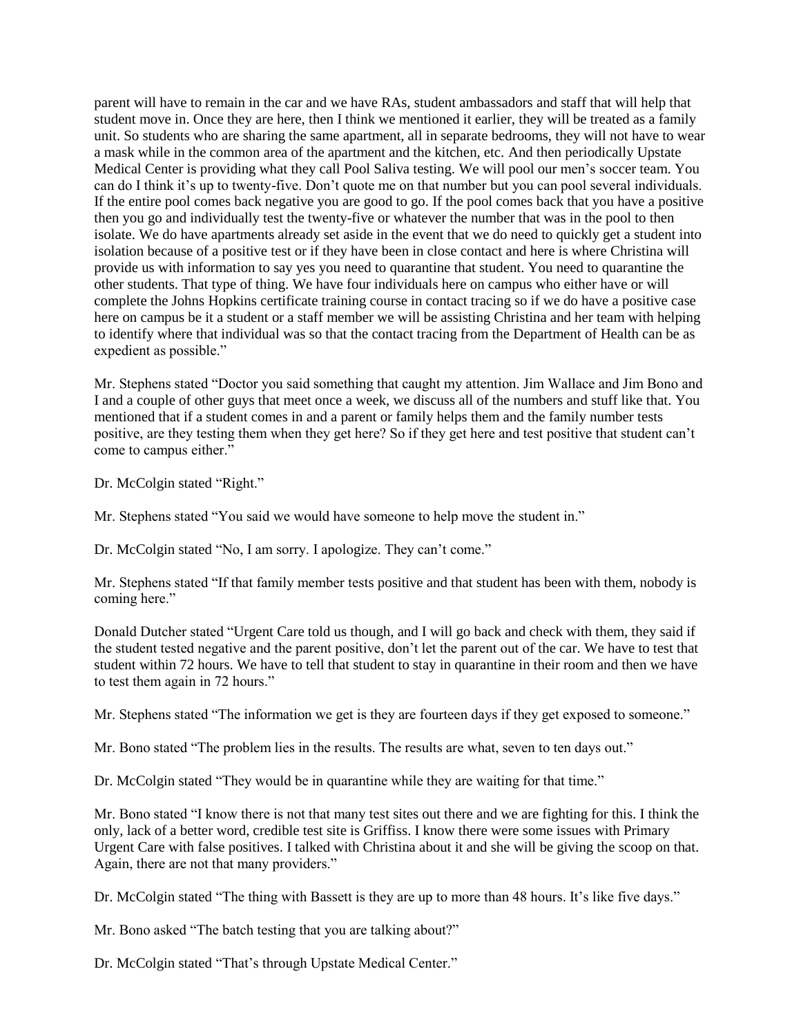parent will have to remain in the car and we have RAs, student ambassadors and staff that will help that student move in. Once they are here, then I think we mentioned it earlier, they will be treated as a family unit. So students who are sharing the same apartment, all in separate bedrooms, they will not have to wear a mask while in the common area of the apartment and the kitchen, etc. And then periodically Upstate Medical Center is providing what they call Pool Saliva testing. We will pool our men's soccer team. You can do I think it's up to twenty-five. Don't quote me on that number but you can pool several individuals. If the entire pool comes back negative you are good to go. If the pool comes back that you have a positive then you go and individually test the twenty-five or whatever the number that was in the pool to then isolate. We do have apartments already set aside in the event that we do need to quickly get a student into isolation because of a positive test or if they have been in close contact and here is where Christina will provide us with information to say yes you need to quarantine that student. You need to quarantine the other students. That type of thing. We have four individuals here on campus who either have or will complete the Johns Hopkins certificate training course in contact tracing so if we do have a positive case here on campus be it a student or a staff member we will be assisting Christina and her team with helping to identify where that individual was so that the contact tracing from the Department of Health can be as expedient as possible."

Mr. Stephens stated "Doctor you said something that caught my attention. Jim Wallace and Jim Bono and I and a couple of other guys that meet once a week, we discuss all of the numbers and stuff like that. You mentioned that if a student comes in and a parent or family helps them and the family number tests positive, are they testing them when they get here? So if they get here and test positive that student can't come to campus either."

Dr. McColgin stated "Right."

Mr. Stephens stated "You said we would have someone to help move the student in."

Dr. McColgin stated "No, I am sorry. I apologize. They can't come."

Mr. Stephens stated "If that family member tests positive and that student has been with them, nobody is coming here."

Donald Dutcher stated "Urgent Care told us though, and I will go back and check with them, they said if the student tested negative and the parent positive, don't let the parent out of the car. We have to test that student within 72 hours. We have to tell that student to stay in quarantine in their room and then we have to test them again in 72 hours."

Mr. Stephens stated "The information we get is they are fourteen days if they get exposed to someone."

Mr. Bono stated "The problem lies in the results. The results are what, seven to ten days out."

Dr. McColgin stated "They would be in quarantine while they are waiting for that time."

Mr. Bono stated "I know there is not that many test sites out there and we are fighting for this. I think the only, lack of a better word, credible test site is Griffiss. I know there were some issues with Primary Urgent Care with false positives. I talked with Christina about it and she will be giving the scoop on that. Again, there are not that many providers."

Dr. McColgin stated "The thing with Bassett is they are up to more than 48 hours. It's like five days."

Mr. Bono asked "The batch testing that you are talking about?"

Dr. McColgin stated "That's through Upstate Medical Center."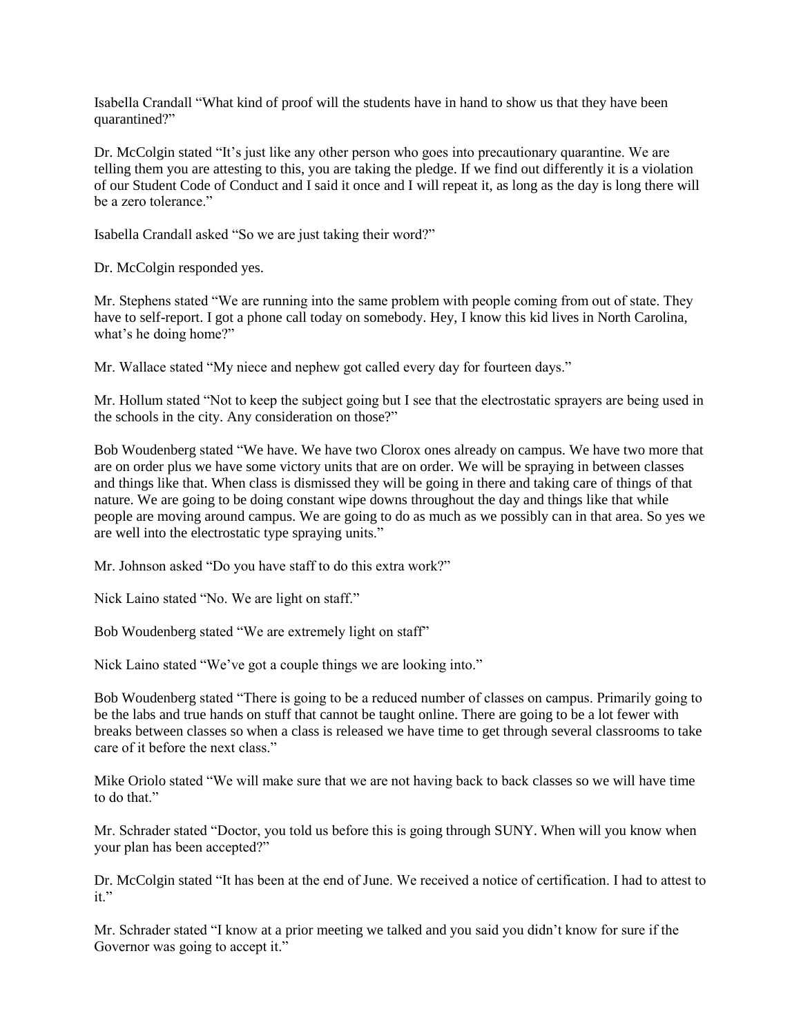Isabella Crandall "What kind of proof will the students have in hand to show us that they have been quarantined?"

Dr. McColgin stated "It's just like any other person who goes into precautionary quarantine. We are telling them you are attesting to this, you are taking the pledge. If we find out differently it is a violation of our Student Code of Conduct and I said it once and I will repeat it, as long as the day is long there will be a zero tolerance."

Isabella Crandall asked "So we are just taking their word?"

Dr. McColgin responded yes.

Mr. Stephens stated "We are running into the same problem with people coming from out of state. They have to self-report. I got a phone call today on somebody. Hey, I know this kid lives in North Carolina, what's he doing home?"

Mr. Wallace stated "My niece and nephew got called every day for fourteen days."

Mr. Hollum stated "Not to keep the subject going but I see that the electrostatic sprayers are being used in the schools in the city. Any consideration on those?"

Bob Woudenberg stated "We have. We have two Clorox ones already on campus. We have two more that are on order plus we have some victory units that are on order. We will be spraying in between classes and things like that. When class is dismissed they will be going in there and taking care of things of that nature. We are going to be doing constant wipe downs throughout the day and things like that while people are moving around campus. We are going to do as much as we possibly can in that area. So yes we are well into the electrostatic type spraying units."

Mr. Johnson asked "Do you have staff to do this extra work?"

Nick Laino stated "No. We are light on staff."

Bob Woudenberg stated "We are extremely light on staff"

Nick Laino stated "We've got a couple things we are looking into."

Bob Woudenberg stated "There is going to be a reduced number of classes on campus. Primarily going to be the labs and true hands on stuff that cannot be taught online. There are going to be a lot fewer with breaks between classes so when a class is released we have time to get through several classrooms to take care of it before the next class."

Mike Oriolo stated "We will make sure that we are not having back to back classes so we will have time to do that."

Mr. Schrader stated "Doctor, you told us before this is going through SUNY. When will you know when your plan has been accepted?"

Dr. McColgin stated "It has been at the end of June. We received a notice of certification. I had to attest to it."

Mr. Schrader stated "I know at a prior meeting we talked and you said you didn't know for sure if the Governor was going to accept it."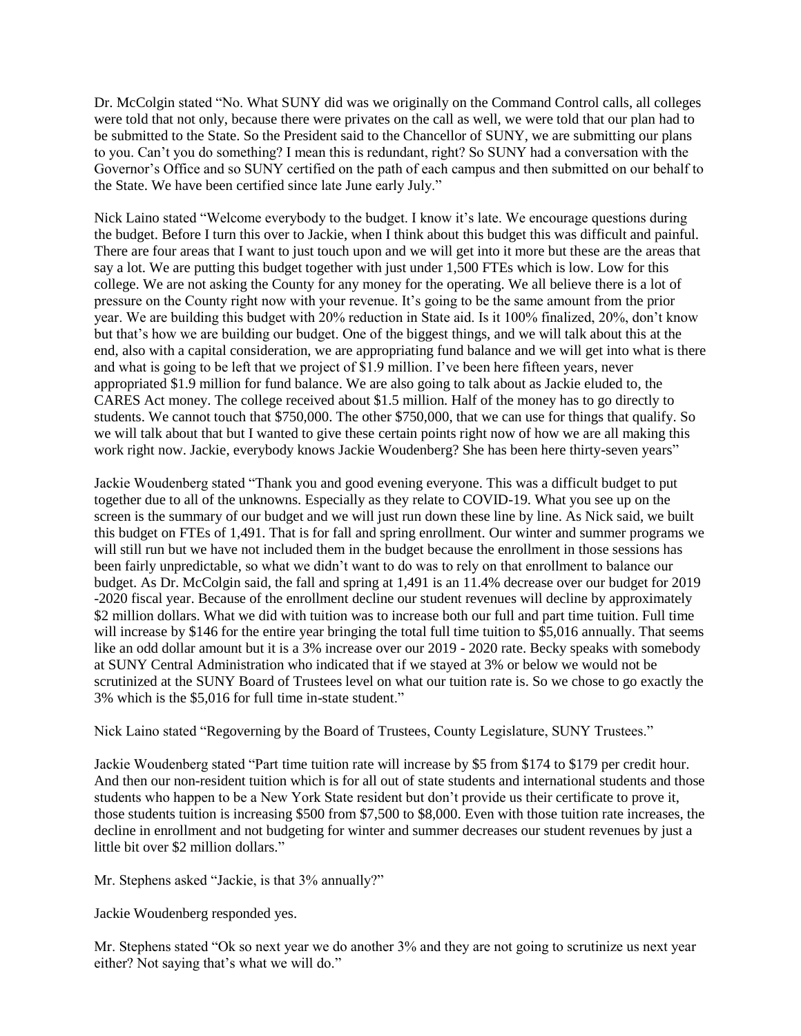Dr. McColgin stated "No. What SUNY did was we originally on the Command Control calls, all colleges were told that not only, because there were privates on the call as well, we were told that our plan had to be submitted to the State. So the President said to the Chancellor of SUNY, we are submitting our plans to you. Can't you do something? I mean this is redundant, right? So SUNY had a conversation with the Governor's Office and so SUNY certified on the path of each campus and then submitted on our behalf to the State. We have been certified since late June early July."

Nick Laino stated "Welcome everybody to the budget. I know it's late. We encourage questions during the budget. Before I turn this over to Jackie, when I think about this budget this was difficult and painful. There are four areas that I want to just touch upon and we will get into it more but these are the areas that say a lot. We are putting this budget together with just under 1,500 FTEs which is low. Low for this college. We are not asking the County for any money for the operating. We all believe there is a lot of pressure on the County right now with your revenue. It's going to be the same amount from the prior year. We are building this budget with 20% reduction in State aid. Is it 100% finalized, 20%, don't know but that's how we are building our budget. One of the biggest things, and we will talk about this at the end, also with a capital consideration, we are appropriating fund balance and we will get into what is there and what is going to be left that we project of \$1.9 million. I've been here fifteen years, never appropriated \$1.9 million for fund balance. We are also going to talk about as Jackie eluded to, the CARES Act money. The college received about \$1.5 million. Half of the money has to go directly to students. We cannot touch that \$750,000. The other \$750,000, that we can use for things that qualify. So we will talk about that but I wanted to give these certain points right now of how we are all making this work right now. Jackie, everybody knows Jackie Woudenberg? She has been here thirty-seven years"

Jackie Woudenberg stated "Thank you and good evening everyone. This was a difficult budget to put together due to all of the unknowns. Especially as they relate to COVID-19. What you see up on the screen is the summary of our budget and we will just run down these line by line. As Nick said, we built this budget on FTEs of 1,491. That is for fall and spring enrollment. Our winter and summer programs we will still run but we have not included them in the budget because the enrollment in those sessions has been fairly unpredictable, so what we didn't want to do was to rely on that enrollment to balance our budget. As Dr. McColgin said, the fall and spring at 1,491 is an 11.4% decrease over our budget for 2019 -2020 fiscal year. Because of the enrollment decline our student revenues will decline by approximately \$2 million dollars. What we did with tuition was to increase both our full and part time tuition. Full time will increase by \$146 for the entire year bringing the total full time tuition to \$5,016 annually. That seems like an odd dollar amount but it is a 3% increase over our 2019 - 2020 rate. Becky speaks with somebody at SUNY Central Administration who indicated that if we stayed at 3% or below we would not be scrutinized at the SUNY Board of Trustees level on what our tuition rate is. So we chose to go exactly the 3% which is the \$5,016 for full time in-state student."

Nick Laino stated "Regoverning by the Board of Trustees, County Legislature, SUNY Trustees."

Jackie Woudenberg stated "Part time tuition rate will increase by \$5 from \$174 to \$179 per credit hour. And then our non-resident tuition which is for all out of state students and international students and those students who happen to be a New York State resident but don't provide us their certificate to prove it, those students tuition is increasing \$500 from \$7,500 to \$8,000. Even with those tuition rate increases, the decline in enrollment and not budgeting for winter and summer decreases our student revenues by just a little bit over \$2 million dollars."

Mr. Stephens asked "Jackie, is that 3% annually?"

Jackie Woudenberg responded yes.

Mr. Stephens stated "Ok so next year we do another 3% and they are not going to scrutinize us next year either? Not saying that's what we will do."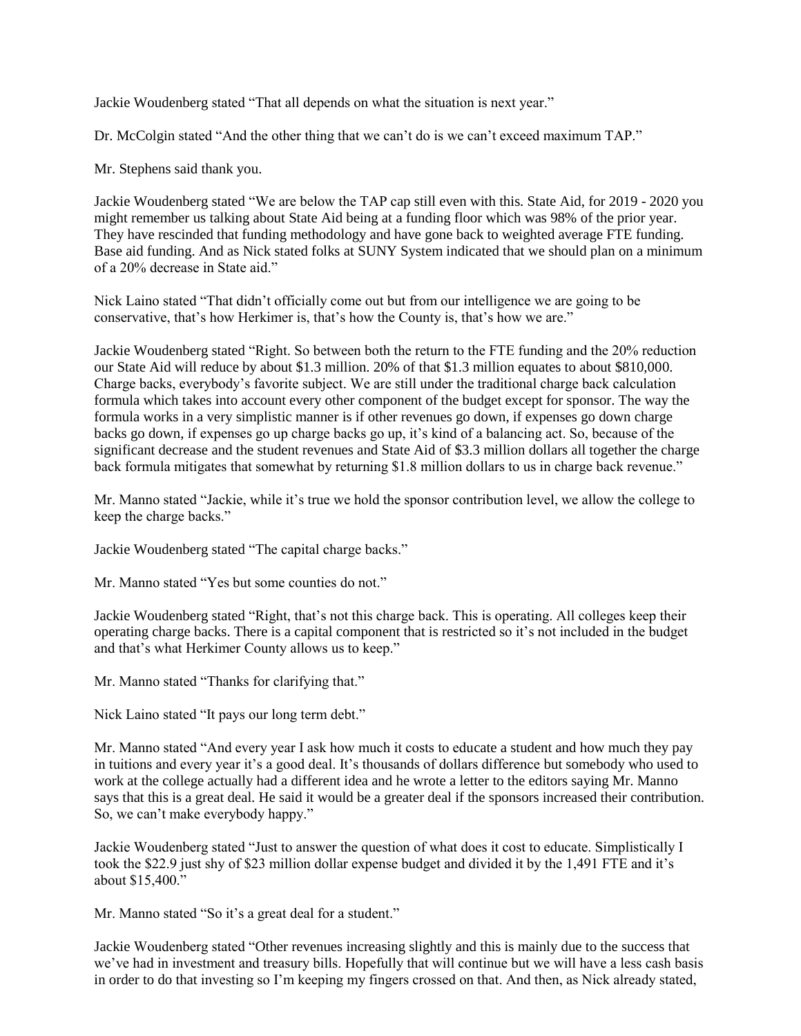Jackie Woudenberg stated "That all depends on what the situation is next year."

Dr. McColgin stated "And the other thing that we can't do is we can't exceed maximum TAP."

Mr. Stephens said thank you.

Jackie Woudenberg stated "We are below the TAP cap still even with this. State Aid, for 2019 - 2020 you might remember us talking about State Aid being at a funding floor which was 98% of the prior year. They have rescinded that funding methodology and have gone back to weighted average FTE funding. Base aid funding. And as Nick stated folks at SUNY System indicated that we should plan on a minimum of a 20% decrease in State aid."

Nick Laino stated "That didn't officially come out but from our intelligence we are going to be conservative, that's how Herkimer is, that's how the County is, that's how we are."

Jackie Woudenberg stated "Right. So between both the return to the FTE funding and the 20% reduction our State Aid will reduce by about \$1.3 million. 20% of that \$1.3 million equates to about \$810,000. Charge backs, everybody's favorite subject. We are still under the traditional charge back calculation formula which takes into account every other component of the budget except for sponsor. The way the formula works in a very simplistic manner is if other revenues go down, if expenses go down charge backs go down, if expenses go up charge backs go up, it's kind of a balancing act. So, because of the significant decrease and the student revenues and State Aid of \$3.3 million dollars all together the charge back formula mitigates that somewhat by returning \$1.8 million dollars to us in charge back revenue."

Mr. Manno stated "Jackie, while it's true we hold the sponsor contribution level, we allow the college to keep the charge backs."

Jackie Woudenberg stated "The capital charge backs."

Mr. Manno stated "Yes but some counties do not."

Jackie Woudenberg stated "Right, that's not this charge back. This is operating. All colleges keep their operating charge backs. There is a capital component that is restricted so it's not included in the budget and that's what Herkimer County allows us to keep."

Mr. Manno stated "Thanks for clarifying that."

Nick Laino stated "It pays our long term debt."

Mr. Manno stated "And every year I ask how much it costs to educate a student and how much they pay in tuitions and every year it's a good deal. It's thousands of dollars difference but somebody who used to work at the college actually had a different idea and he wrote a letter to the editors saying Mr. Manno says that this is a great deal. He said it would be a greater deal if the sponsors increased their contribution. So, we can't make everybody happy."

Jackie Woudenberg stated "Just to answer the question of what does it cost to educate. Simplistically I took the \$22.9 just shy of \$23 million dollar expense budget and divided it by the 1,491 FTE and it's about \$15,400."

Mr. Manno stated "So it's a great deal for a student."

Jackie Woudenberg stated "Other revenues increasing slightly and this is mainly due to the success that we've had in investment and treasury bills. Hopefully that will continue but we will have a less cash basis in order to do that investing so I'm keeping my fingers crossed on that. And then, as Nick already stated,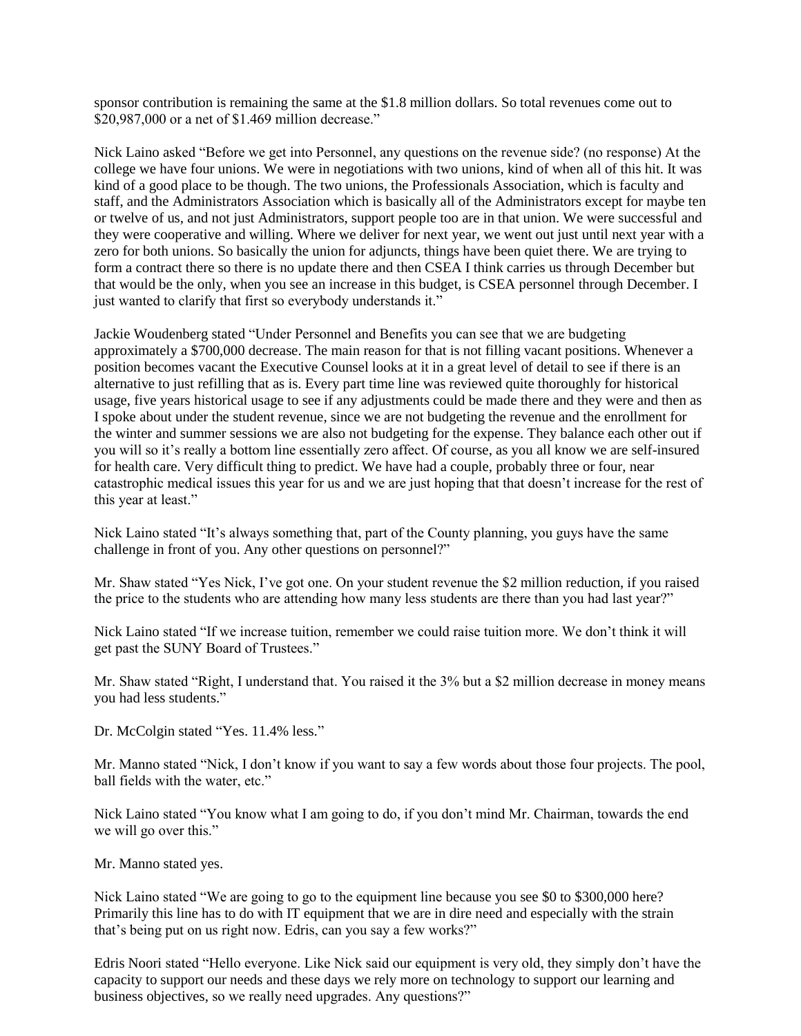sponsor contribution is remaining the same at the \$1.8 million dollars. So total revenues come out to \$20,987,000 or a net of \$1.469 million decrease."

Nick Laino asked "Before we get into Personnel, any questions on the revenue side? (no response) At the college we have four unions. We were in negotiations with two unions, kind of when all of this hit. It was kind of a good place to be though. The two unions, the Professionals Association, which is faculty and staff, and the Administrators Association which is basically all of the Administrators except for maybe ten or twelve of us, and not just Administrators, support people too are in that union. We were successful and they were cooperative and willing. Where we deliver for next year, we went out just until next year with a zero for both unions. So basically the union for adjuncts, things have been quiet there. We are trying to form a contract there so there is no update there and then CSEA I think carries us through December but that would be the only, when you see an increase in this budget, is CSEA personnel through December. I just wanted to clarify that first so everybody understands it."

Jackie Woudenberg stated "Under Personnel and Benefits you can see that we are budgeting approximately a \$700,000 decrease. The main reason for that is not filling vacant positions. Whenever a position becomes vacant the Executive Counsel looks at it in a great level of detail to see if there is an alternative to just refilling that as is. Every part time line was reviewed quite thoroughly for historical usage, five years historical usage to see if any adjustments could be made there and they were and then as I spoke about under the student revenue, since we are not budgeting the revenue and the enrollment for the winter and summer sessions we are also not budgeting for the expense. They balance each other out if you will so it's really a bottom line essentially zero affect. Of course, as you all know we are self-insured for health care. Very difficult thing to predict. We have had a couple, probably three or four, near catastrophic medical issues this year for us and we are just hoping that that doesn't increase for the rest of this year at least."

Nick Laino stated "It's always something that, part of the County planning, you guys have the same challenge in front of you. Any other questions on personnel?"

Mr. Shaw stated "Yes Nick, I've got one. On your student revenue the \$2 million reduction, if you raised the price to the students who are attending how many less students are there than you had last year?"

Nick Laino stated "If we increase tuition, remember we could raise tuition more. We don't think it will get past the SUNY Board of Trustees."

Mr. Shaw stated "Right, I understand that. You raised it the 3% but a \$2 million decrease in money means you had less students."

Dr. McColgin stated "Yes. 11.4% less."

Mr. Manno stated "Nick, I don't know if you want to say a few words about those four projects. The pool, ball fields with the water, etc."

Nick Laino stated "You know what I am going to do, if you don't mind Mr. Chairman, towards the end we will go over this."

Mr. Manno stated yes.

Nick Laino stated "We are going to go to the equipment line because you see \$0 to \$300,000 here? Primarily this line has to do with IT equipment that we are in dire need and especially with the strain that's being put on us right now. Edris, can you say a few works?"

Edris Noori stated "Hello everyone. Like Nick said our equipment is very old, they simply don't have the capacity to support our needs and these days we rely more on technology to support our learning and business objectives, so we really need upgrades. Any questions?"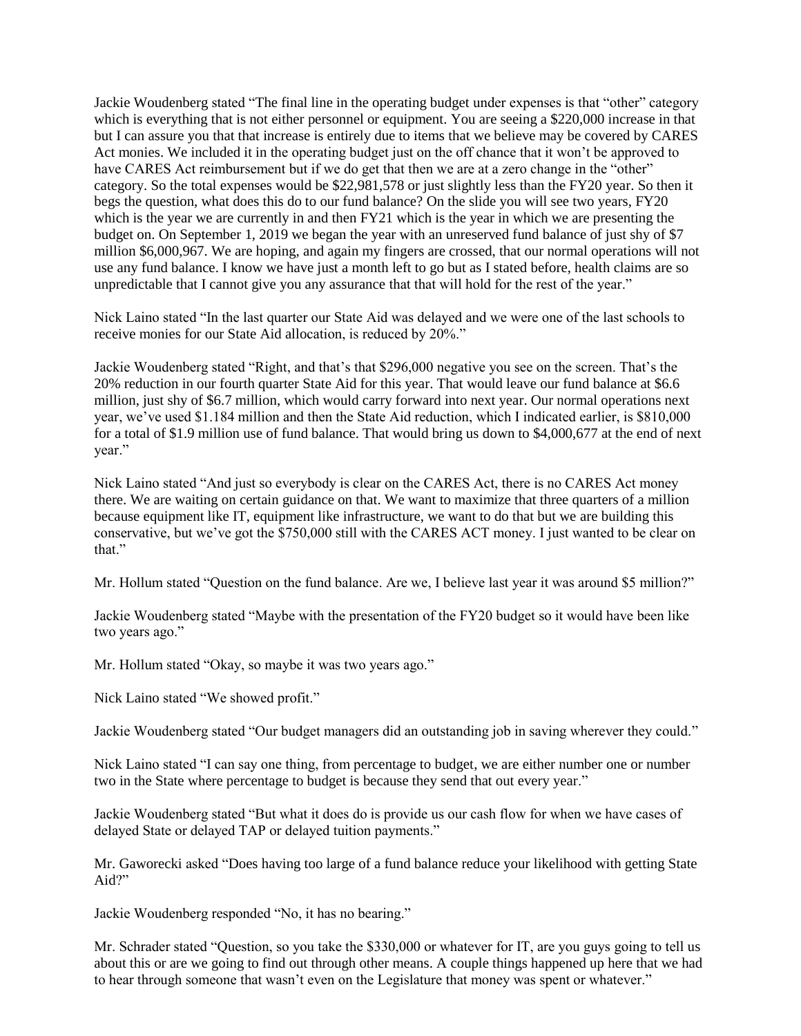Jackie Woudenberg stated "The final line in the operating budget under expenses is that "other" category which is everything that is not either personnel or equipment. You are seeing a \$220,000 increase in that but I can assure you that that increase is entirely due to items that we believe may be covered by CARES Act monies. We included it in the operating budget just on the off chance that it won't be approved to have CARES Act reimbursement but if we do get that then we are at a zero change in the "other" category. So the total expenses would be \$22,981,578 or just slightly less than the FY20 year. So then it begs the question, what does this do to our fund balance? On the slide you will see two years, FY20 which is the year we are currently in and then FY21 which is the year in which we are presenting the budget on. On September 1, 2019 we began the year with an unreserved fund balance of just shy of \$7 million \$6,000,967. We are hoping, and again my fingers are crossed, that our normal operations will not use any fund balance. I know we have just a month left to go but as I stated before, health claims are so unpredictable that I cannot give you any assurance that that will hold for the rest of the year."

Nick Laino stated "In the last quarter our State Aid was delayed and we were one of the last schools to receive monies for our State Aid allocation, is reduced by 20%."

Jackie Woudenberg stated "Right, and that's that \$296,000 negative you see on the screen. That's the 20% reduction in our fourth quarter State Aid for this year. That would leave our fund balance at \$6.6 million, just shy of \$6.7 million, which would carry forward into next year. Our normal operations next year, we've used \$1.184 million and then the State Aid reduction, which I indicated earlier, is \$810,000 for a total of \$1.9 million use of fund balance. That would bring us down to \$4,000,677 at the end of next year."

Nick Laino stated "And just so everybody is clear on the CARES Act, there is no CARES Act money there. We are waiting on certain guidance on that. We want to maximize that three quarters of a million because equipment like IT, equipment like infrastructure, we want to do that but we are building this conservative, but we've got the \$750,000 still with the CARES ACT money. I just wanted to be clear on that."

Mr. Hollum stated "Question on the fund balance. Are we, I believe last year it was around \$5 million?"

Jackie Woudenberg stated "Maybe with the presentation of the FY20 budget so it would have been like two years ago."

Mr. Hollum stated "Okay, so maybe it was two years ago."

Nick Laino stated "We showed profit."

Jackie Woudenberg stated "Our budget managers did an outstanding job in saving wherever they could."

Nick Laino stated "I can say one thing, from percentage to budget, we are either number one or number two in the State where percentage to budget is because they send that out every year."

Jackie Woudenberg stated "But what it does do is provide us our cash flow for when we have cases of delayed State or delayed TAP or delayed tuition payments."

Mr. Gaworecki asked "Does having too large of a fund balance reduce your likelihood with getting State Aid?"

Jackie Woudenberg responded "No, it has no bearing."

Mr. Schrader stated "Question, so you take the \$330,000 or whatever for IT, are you guys going to tell us about this or are we going to find out through other means. A couple things happened up here that we had to hear through someone that wasn't even on the Legislature that money was spent or whatever."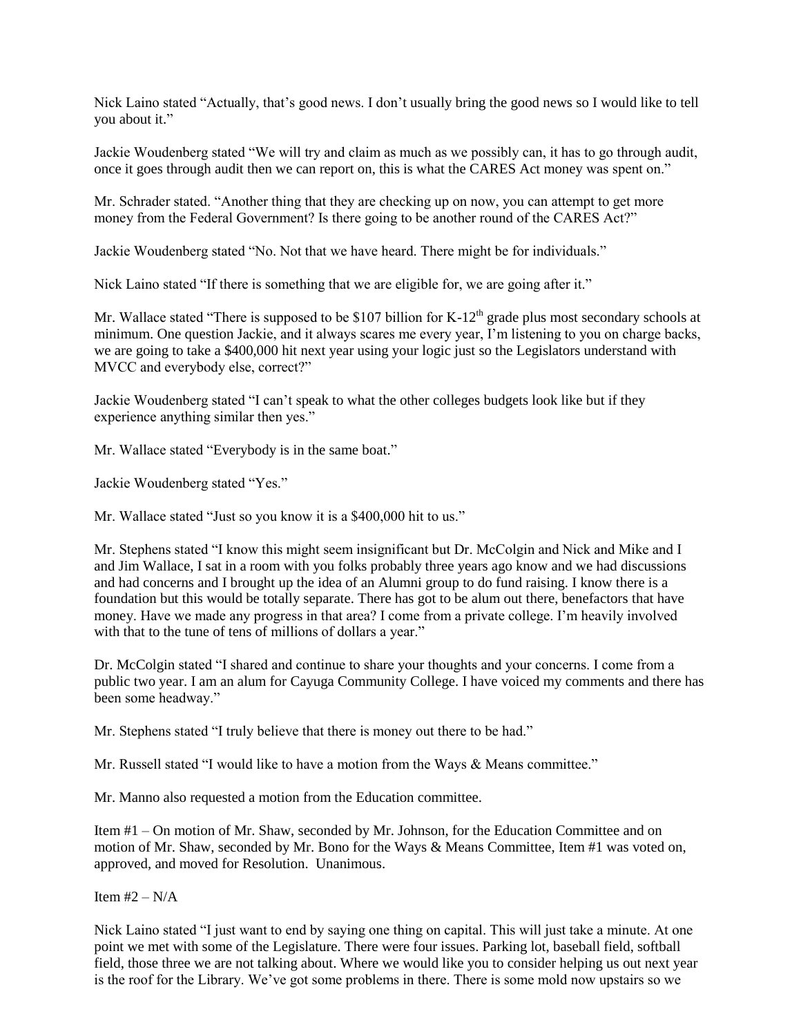Nick Laino stated "Actually, that's good news. I don't usually bring the good news so I would like to tell you about it."

Jackie Woudenberg stated "We will try and claim as much as we possibly can, it has to go through audit, once it goes through audit then we can report on, this is what the CARES Act money was spent on."

Mr. Schrader stated. "Another thing that they are checking up on now, you can attempt to get more money from the Federal Government? Is there going to be another round of the CARES Act?"

Jackie Woudenberg stated "No. Not that we have heard. There might be for individuals."

Nick Laino stated "If there is something that we are eligible for, we are going after it."

Mr. Wallace stated "There is supposed to be \$107 billion for  $K-12<sup>th</sup>$  grade plus most secondary schools at minimum. One question Jackie, and it always scares me every year, I'm listening to you on charge backs, we are going to take a \$400,000 hit next year using your logic just so the Legislators understand with MVCC and everybody else, correct?"

Jackie Woudenberg stated "I can't speak to what the other colleges budgets look like but if they experience anything similar then yes."

Mr. Wallace stated "Everybody is in the same boat."

Jackie Woudenberg stated "Yes."

Mr. Wallace stated "Just so you know it is a \$400,000 hit to us."

Mr. Stephens stated "I know this might seem insignificant but Dr. McColgin and Nick and Mike and I and Jim Wallace, I sat in a room with you folks probably three years ago know and we had discussions and had concerns and I brought up the idea of an Alumni group to do fund raising. I know there is a foundation but this would be totally separate. There has got to be alum out there, benefactors that have money. Have we made any progress in that area? I come from a private college. I'm heavily involved with that to the tune of tens of millions of dollars a year."

Dr. McColgin stated "I shared and continue to share your thoughts and your concerns. I come from a public two year. I am an alum for Cayuga Community College. I have voiced my comments and there has been some headway."

Mr. Stephens stated "I truly believe that there is money out there to be had."

Mr. Russell stated "I would like to have a motion from the Ways & Means committee."

Mr. Manno also requested a motion from the Education committee.

Item #1 – On motion of Mr. Shaw, seconded by Mr. Johnson, for the Education Committee and on motion of Mr. Shaw, seconded by Mr. Bono for the Ways & Means Committee, Item #1 was voted on, approved, and moved for Resolution. Unanimous.

Item  $#2 - N/A$ 

Nick Laino stated "I just want to end by saying one thing on capital. This will just take a minute. At one point we met with some of the Legislature. There were four issues. Parking lot, baseball field, softball field, those three we are not talking about. Where we would like you to consider helping us out next year is the roof for the Library. We've got some problems in there. There is some mold now upstairs so we